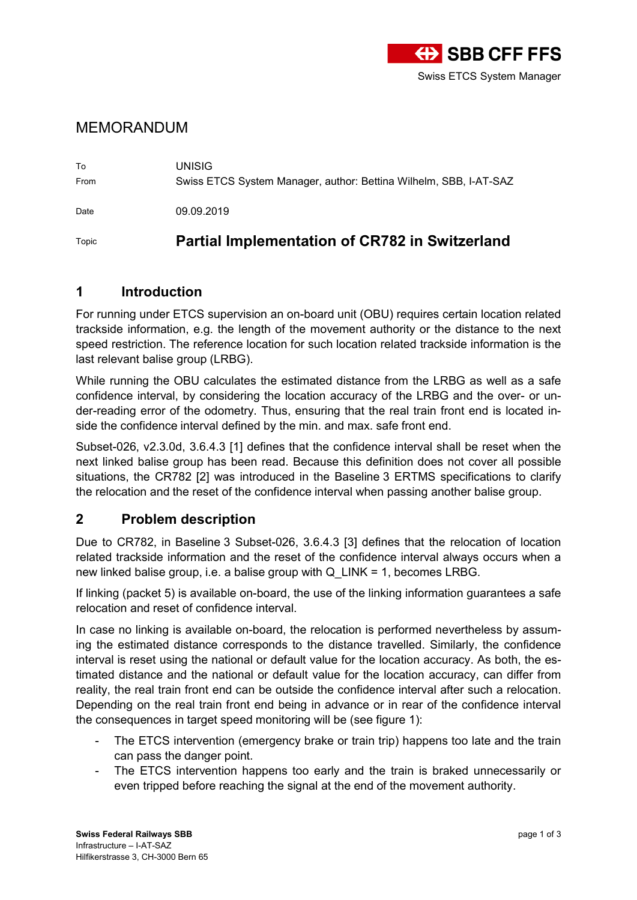

## MEMORANDUM

To UNISIG From Swiss ETCS System Manager, author: Bettina Wilhelm, SBB, I-AT-SAZ Date 09.09.2019

Topic **Partial Implementation of CR782 in Switzerland**

## **1 Introduction**

For running under ETCS supervision an on-board unit (OBU) requires certain location related trackside information, e.g. the length of the movement authority or the distance to the next speed restriction. The reference location for such location related trackside information is the last relevant balise group (LRBG).

While running the OBU calculates the estimated distance from the LRBG as well as a safe confidence interval, by considering the location accuracy of the LRBG and the over- or under-reading error of the odometry. Thus, ensuring that the real train front end is located inside the confidence interval defined by the min. and max. safe front end.

Subset-026, v2.3.0d, 3.6.4.3 [\[1\]](#page-2-0) defines that the confidence interval shall be reset when the next linked balise group has been read. Because this definition does not cover all possible situations, the CR782 [\[2\]](#page-2-1) was introduced in the Baseline 3 ERTMS specifications to clarify the relocation and the reset of the confidence interval when passing another balise group.

## **2 Problem description**

Due to CR782, in Baseline 3 Subset-026, 3.6.4.3 [\[3\]](#page-2-2) defines that the relocation of location related trackside information and the reset of the confidence interval always occurs when a new linked balise group, i.e. a balise group with Q\_LINK = 1, becomes LRBG.

If linking (packet 5) is available on-board, the use of the linking information guarantees a safe relocation and reset of confidence interval.

In case no linking is available on-board, the relocation is performed nevertheless by assuming the estimated distance corresponds to the distance travelled. Similarly, the confidence interval is reset using the national or default value for the location accuracy. As both, the estimated distance and the national or default value for the location accuracy, can differ from reality, the real train front end can be outside the confidence interval after such a relocation. Depending on the real train front end being in advance or in rear of the confidence interval the consequences in target speed monitoring will be (see figure 1):

- The ETCS intervention (emergency brake or train trip) happens too late and the train can pass the danger point.
- The ETCS intervention happens too early and the train is braked unnecessarily or even tripped before reaching the signal at the end of the movement authority.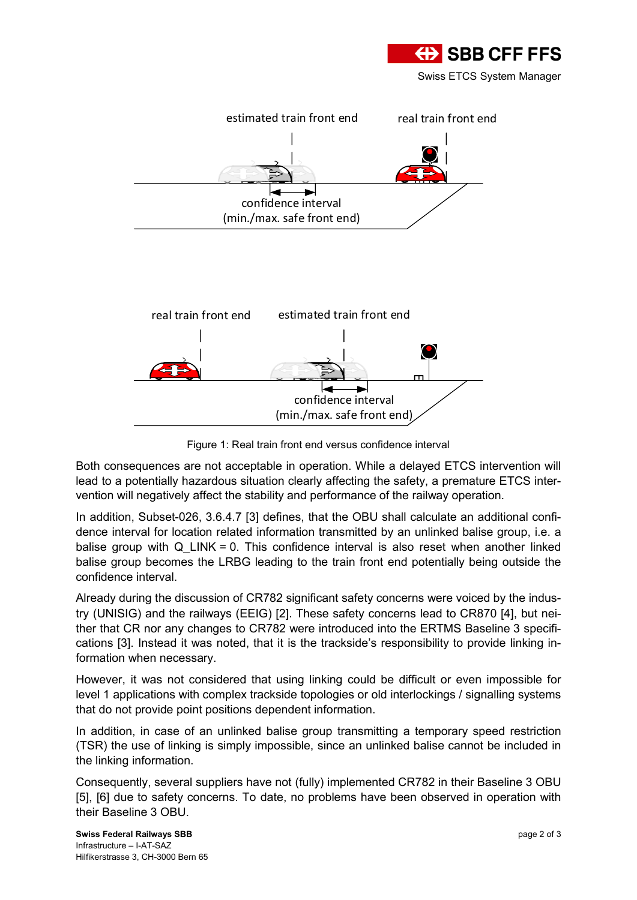





Figure 1: Real train front end versus confidence interval

Both consequences are not acceptable in operation. While a delayed ETCS intervention will lead to a potentially hazardous situation clearly affecting the safety, a premature ETCS intervention will negatively affect the stability and performance of the railway operation.

In addition, Subset-026, 3.6.4.7 [\[3\]](#page-2-2) defines, that the OBU shall calculate an additional confidence interval for location related information transmitted by an unlinked balise group, i.e. a balise group with Q LINK = 0. This confidence interval is also reset when another linked balise group becomes the LRBG leading to the train front end potentially being outside the confidence interval.

Already during the discussion of CR782 significant safety concerns were voiced by the industry (UNISIG) and the railways (EEIG) [\[2\]](#page-2-1). These safety concerns lead to CR870 [\[4\],](#page-2-3) but neither that CR nor any changes to CR782 were introduced into the ERTMS Baseline 3 specifications [\[3\]](#page-2-2). Instead it was noted, that it is the trackside's responsibility to provide linking information when necessary.

However, it was not considered that using linking could be difficult or even impossible for level 1 applications with complex trackside topologies or old interlockings / signalling systems that do not provide point positions dependent information.

In addition, in case of an unlinked balise group transmitting a temporary speed restriction (TSR) the use of linking is simply impossible, since an unlinked balise cannot be included in the linking information.

Consequently, several suppliers have not (fully) implemented CR782 in their Baseline 3 OBU [\[5\]](#page-2-4), [\[6\]](#page-2-5) due to safety concerns. To date, no problems have been observed in operation with their Baseline 3 OBU.